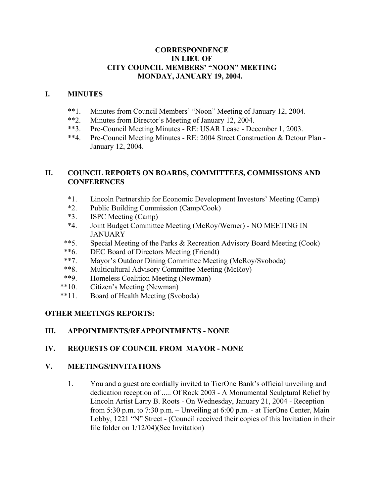#### **CORRESPONDENCE IN LIEU OF CITY COUNCIL MEMBERS' "NOON" MEETING MONDAY, JANUARY 19, 2004.**

#### **I. MINUTES**

- \*\*1. Minutes from Council Members' "Noon" Meeting of January 12, 2004.<br>\*\*2 Minutes from Director's Meeting of January 12, 2004.
- Minutes from Director's Meeting of January 12, 2004.
- \*\*3. Pre-Council Meeting Minutes RE: USAR Lease December 1, 2003.
- \*\*4. Pre-Council Meeting Minutes RE: 2004 Street Construction & Detour Plan January 12, 2004.

# **II. COUNCIL REPORTS ON BOARDS, COMMITTEES, COMMISSIONS AND CONFERENCES**

- \*1. Lincoln Partnership for Economic Development Investors' Meeting (Camp)
- \*2. Public Building Commission (Camp/Cook)
- \*3. ISPC Meeting (Camp)
- \*4. Joint Budget Committee Meeting (McRoy/Werner) NO MEETING IN JANUARY
- \*\*5. Special Meeting of the Parks & Recreation Advisory Board Meeting (Cook)
- \*\*6. DEC Board of Directors Meeting (Friendt)
- \*\*7. Mayor's Outdoor Dining Committee Meeting (McRoy/Svoboda)
- \*\*8. Multicultural Advisory Committee Meeting (McRoy)
- \*\*9. Homeless Coalition Meeting (Newman)
- \*\*10. Citizen's Meeting (Newman)
- \*\*11. Board of Health Meeting (Svoboda)

# **OTHER MEETINGS REPORTS:**

# **III. APPOINTMENTS/REAPPOINTMENTS - NONE**

# **IV. REQUESTS OF COUNCIL FROM MAYOR - NONE**

### **V. MEETINGS/INVITATIONS**

1. You and a guest are cordially invited to TierOne Bank's official unveiling and dedication reception of ..... Of Rock 2003 - A Monumental Sculptural Relief by Lincoln Artist Larry B. Roots - On Wednesday, January 21, 2004 - Reception from 5:30 p.m. to 7:30 p.m. – Unveiling at 6:00 p.m. - at TierOne Center, Main Lobby, 1221 "N" Street - (Council received their copies of this Invitation in their file folder on 1/12/04)(See Invitation)